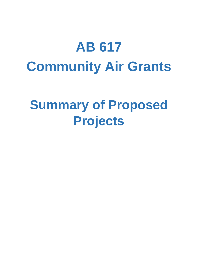# **AB 617 Community Air Grants**

# **Summary of Proposed Projects**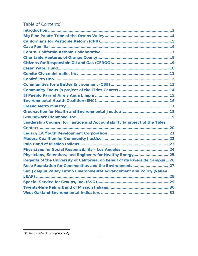## Table of Contents<sup>[1](#page-1-0)</sup>

| Leadership Counsel for Justice and Accountability (a project of the Tides      |
|--------------------------------------------------------------------------------|
|                                                                                |
|                                                                                |
|                                                                                |
|                                                                                |
|                                                                                |
| Physicians, Scientists, and Engineers for Healthy Energy25                     |
| Regents of the University of California, on behalf of its Riverside Campus  26 |
| Rose Foundation for Communities and the Environment27                          |
| San Joaquin Valley Latino Environmental Advancement and Policy (Valley         |
|                                                                                |
|                                                                                |
|                                                                                |
|                                                                                |

<span id="page-1-0"></span> <sup>1</sup> *Project awardees listed alphabetically.*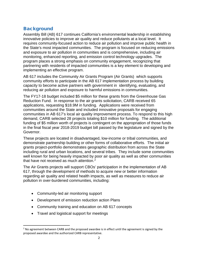## <span id="page-2-0"></span>**Background**

Assembly Bill (AB) 617 continues California's environmental leadership in establishing innovative policies to improve air quality and reduce pollutants at a local level. It requires community-focused action to reduce air pollution and improve public health in the State's most impacted communities. The program is focused on reducing emissions and exposure to air pollution in communities and is comprehensive, including air monitoring, enhanced reporting, and emission control technology upgrades. The program places a strong emphasis on community engagement, recognizing that partnering with residents of impacted communities is a key element to developing and implementing an effective program.

AB 617 includes the Community Air Grants Program (Air Grants) which supports community efforts to participate in the AB 617 implementation process by building capacity to become active partners with government in identifying, evaluating, and reducing air pollution and exposure to harmful emissions in communities.

The FY17-18 budget included \$5 million for these grants from the Greenhouse Gas Reduction Fund. In response to the air grants solicitation, CARB received 65 applications, requesting \$18.9M in funding. Applications were received from communities around the State and included innovative proposals for engaging communities in AB 617's local air quality improvement process. To respond to this high demand, CARB selected 28 projects totaling \$10 million for funding. The additional funding of \$5 million worth of projects is contingent on the appropriation of those funds in the final fiscal year 2018-2019 budget bill passed by the legislature and signed by the Governor.

These projects are located in disadvantaged, low-income or tribal communities, and demonstrate partnership building or other forms of collaborative efforts. The initial air grants project-portfolio demonstrates geographic distribution from across the State including rural and urban locations, and several tribes. They include some communities well known for being heavily impacted by poor air quality as well as other communities that have not received as much attention.<sup>[2](#page-2-1)</sup>

The Air Grants projects will support CBOs' participation in the implementation of AB 617, through the development of methods to acquire new or better information regarding air quality and related health impacts, as well as measures to reduce air pollution in over-burdened communities, including:

- Community-led air monitoring support
- Development of emission reduction action Plans
- Community training and education on AB 617 concepts
- Travel and logistical support for meetings

<span id="page-2-1"></span> $<sup>2</sup>$  No agreement between CARB and the proposed awardee is in effect until the agreement is signed by the</sup> proposed awardee and the authorized CARB representative.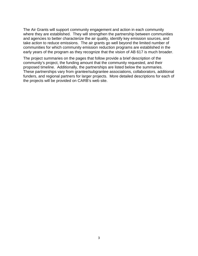The Air Grants will support community engagement and action in each community where they are established. They will strengthen the partnership between communities and agencies to better characterize the air quality, identify key emission sources, and take action to reduce emissions. The air grants go well beyond the limited number of communities for which community emission reduction programs are established in the early years of the program as they recognize that the vision of AB 617 is much broader.

The project summaries on the pages that follow provide a brief description of the community's project, the funding amount that the community requested, and their proposed timeline. Additionally, the partnerships are listed below the summaries. These partnerships vary from grantee/subgrantee associations, collaborators, additional funders, and regional partners for larger projects. More detailed descriptions for each of the projects will be provided on CARB's web site.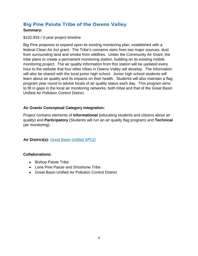## <span id="page-4-0"></span>Big Pine Paiute Tribe of the Owens Valley

#### **Summary:**

\$102,933 / 3-year project timeline

Big Pine proposes to expand upon its existing monitoring plan, established with a federal Clean Air Act grant. The Tribe's concerns stem from two major sources: dust from surrounding land and smoke from wildfires. Under the Community Air Grant, the tribe plans to create a permanent monitoring station, building on its existing mobile monitoring project. The air quality information from this station will be updated every hour to the website that four other tribes in Owens Valley will develop. The information will also be shared with the local junior high school. Junior high school students will learn about air quality and its impacts on their health. Students will also maintain a flag program year round to advise locals of air quality status each day. This program aims to fill in gaps in the local air monitoring networks, both tribal and that of the Great Basin Unified Air Pollution Control District.

#### **Air Grants Conceptual Category Integration:**

Project contains elements of **Informational** (educating students and citizens about air quality) and **Participatory** (Students will run an air quality flag program) and **Technical**  (air monitoring).

**Air District(s):** [Great Basin Unified APCD](https://gbuapcd.org/)

- Bishop Paiute Tribe
- Lone Pine Paiute and Shoshone Tribe
- Great Basin Unified Air Pollution Control District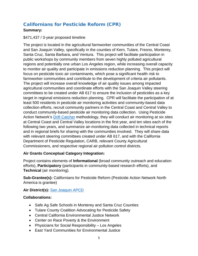## <span id="page-5-0"></span>Californians for Pesticide Reform (CPR)

#### **Summary:**

#### \$471,437 / 3-year proposed timeline

The project is located in the agricultural farmworker communities of the Central Coast and San Joaquin Valley, specifically in the counties of Kern, Tulare, Fresno, Monterey, Santa Cruz, Santa Barbara, and Ventura. This project will facilitate participation in public workshops by community members from seven highly polluted agricultural regions and potentially one urban Los Angeles region, while increasing overall capacity to monitor air quality and participate in emissions reduction planning. This project will focus on pesticide toxic air contaminants, which pose a significant health risk to farmworker communities and contribute to the development of criteria air pollutants. The project will increase overall knowledge of air quality issues among impacted agricultural communities and coordinate efforts with the San Joaquin Valley steering committees to be created under AB 617 to ensure the inclusion of pesticides as a key target in regional emissions reduction planning. CPR will facilitate the participation of at least 500 residents in pesticide air monitoring activities and community-based data collection efforts, recruit community partners in the Central Coast and Central Valley to conduct community-based pesticide air monitoring data collection. Using Pesticide Action Network's **Drift Catcher methodology**, they will conduct air monitoring at six sites at Central Coast and Central Valley locations in the first year, and ten sites each of the following two years, and summarize air-monitoring data collected in technical reports and in regional briefs for sharing with the communities involved. They will share data with relevant steering committees created under AB 617, and with the California Department of Pesticide Regulation, CARB, relevant County Agricultural Commissioners, and respective regional air pollution control districts.

#### **Air Grants Conceptual Category Integration:**

Project contains elements of **Informational** (broad community outreach and education efforts), **Participatory** (participants in community-based research efforts), and **Technical** (air monitoring).

**Sub-Grantee(s):** Californians for Pesticide Reform (Pesticide Action Network North America is grantee)

**Air District(s):** [San Joaquin APCD](http://www.valleyair.org/Home.htm)

- Safe Ag Safe Schools in Monterey and Santa Cruz Counties
- Tulare County Coalition Advocating for Pesticide Safety
- Central California Environmental Justice Network
- Center on Race Poverty & the Environment
- Physicians for Social Responsibility Los Angeles
- East Yard Communities for Environmental Justice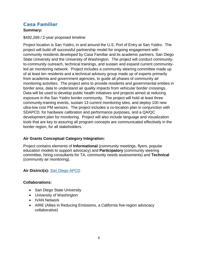## <span id="page-6-0"></span>Casa Familiar

#### **Summary:**

#### \$492,269 / 2-year proposed timeline

Project location is San Ysidro, in and around the U.S. Port of Entry at San Ysidro. The project will build off successful partnership model for ongoing engagement with community residents developed by Casa Familiar and its academic partners, San Diego State University and the University of Washington. The project will conduct communityto-community outreach, technical trainings, and sustain and expand current communityled air monitoring network. Project includes a community steering committee made up of at least ten residents and a technical advisory group made up of experts primarily from academia and government agencies, to guide all phases of community air monitoring activities. The project aims to provide residents and governmental entities in border area, data to understand air quality impacts from vehicular border crossings. Data will be used to develop public health initiatives and projects aimed at reducing exposure in the San Ysidro border community. The project will hold at least three community-training events, sustain 13 current monitoring sites, and deploy 100 new ultra-low cost PM sensors. The project includes a co-location plan in conjunction with SDAPCD, for hardware calibration and performance purposes, and a QA/QC development plan for monitoring. Project will also include language and visualization tools that are key to assuring all program concepts are communicated effectively in the border region, for all stakeholders.

#### **Air Grants Conceptual Category Integration:**

Project contains elements of **Informational** (community meetings, flyers, popular education models to support advocacy) and **Participatory** (community steering committee, hiring consultants for TA, community needs assessments) and **Technical** (community air monitoring).

#### **Air District(s):** [San Diego APCD](https://www.sdapcd.org/)

- San Diego State University
- University of Washington
- IVAN Network
- AIRE (Allies in Reducing Emissions, a California five-region advocacy collaborative)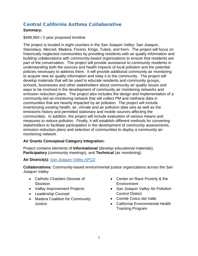## <span id="page-7-0"></span>Central California Asthma Collaborative

#### **Summary:**

\$499,993 / 2-year proposed timeline

The project is located in eight counties in the San Joaquin Valley: San Joaquin, Stanislaus, Merced, Madera, Fresno, Kings, Tulare, and Kern. The project will focus on historically neglected communities by providing residents with air quality information and building collaborations with community-based organizations to ensure that residents are part of the conversation. The project will provide assistance to community residents in understanding both the sources and health impacts of local pollution and the potential policies necessary to address them. It will provide additional community air monitoring to acquire new air quality information and relay it to the community. The project will develop materials that will be used to educate residents and community groups, schools, businesses and other stakeholders about community air quality issues and ways to be involved in the development of community air monitoring networks and emission reduction plans. The project also includes the design and implementation of a community-led air-monitoring network that will collect PM and methane data in communities that are heavily impacted by air pollution. The project will include inventorying existing health, air, climate and air pollution data sets as well as the emissions history and permitted stationary and mobile sources affecting the communities. In addition, the project will include evaluation of various means and measures to reduce pollution. Finally, it will establish different methods for convening stakeholders to facilitate participation in the development of community assessments, emission reduction plans and selection of communities to deploy a community airmonitoring network.

#### **Air Grants Conceptual Category Integration:**

Project contains elements of **Informational** (develop educational materials), **Participatory** (community meetings), and **Technical** (air monitoring).

#### **Air District(s):** [San Joaquin Valley APCD](http://www.valleyair.org/Home.htm)

**Collaborations:** Community-based environmental justice organizations across the San Joaquin Valley

- Catholic Charities Diocese of **Stockton**
- Valley Improvement Projects
- Leadership Counsel
- Madera Coalition for Community **Justice**
- Center on Race Poverty & the **Environment**
- San Joaquin Valley Air Pollution Control District
- Comité Civico del Valle
- California Environmental Health Tracking Program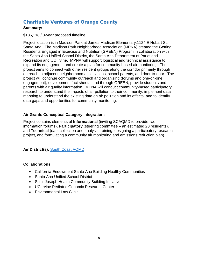## <span id="page-8-0"></span>Charitable Ventures of Orange County

#### **Summary:**

#### \$185,118 / 3-year proposed timeline

Project location is in Madison Park at James Madison Elementary,1124 E Hobart St, Santa Ana. The Madison Park Neighborhood Association (MPNA) created the Getting Residents Engaged in Exercise and Nutrition (GREEN) Program in collaboration with the Santa Ana Unified School District, the Santa Ana Department of Parks and Recreation and UC Irvine. MPNA will support logistical and technical assistance to expand its engagement and create a plan for community-based air monitoring. The project aims to connect with other resident groups along the corridor primarily through outreach to adjacent neighborhood associations, school parents, and door-to-door. The project will continue community outreach and organizing (forums and one-on-one engagement), development fact sheets, and through GREEN, provide students and parents with air quality information. MPNA will conduct community-based participatory research to understand the impacts of air pollution to their community, implement data mapping to understand the existing data on air pollution and its effects, and to identify data gaps and opportunities for community monitoring.

#### **Air Grants Conceptual Category Integration:**

Project contains elements of **Informational** (inviting SCAQMD to provide two information forums), **Participatory** (steering committee – an estimated 20 residents), and **Technical** (data collection and analysis training, designing a participatory research project, and formulating a community air monitoring and emissions reduction plan).

**Air District(s):** [South Coast AQMD](http://www.aqmd.gov/)

- California Endowment Santa Ana Building Healthy Communities
- Santa Ana Unified School District
- Saint Joseph Health Community Building Initiative
- UC Irvine Pediatric Genomic Research Center
- Environmental Law Clinic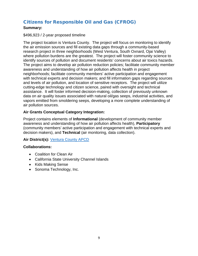## <span id="page-9-0"></span>Citizens for Responsible Oil and Gas (CFROG)

#### **Summary:**

#### \$496,923 / 2-year proposed timeline

The project location is Ventura County. The project will focus on monitoring to identify the air emission sources and fill existing data gaps through a community-based research project in three neighborhoods (West Ventura, South Oxnard, Ojai Valley) where pollution burdens are the greatest. The project will foster community science to identify sources of pollution and document residents' concerns about air toxics hazards. The project aims to develop air pollution reduction policies; facilitate community member awareness and understanding of how air pollution affects health in project neighborhoods; facilitate community members' active participation and engagement with technical experts and decision makers; and fill information gaps regarding sources and levels of air pollution, and location of sensitive receptors. The project will utilize cutting-edge technology and citizen science, paired with oversight and technical assistance. It will foster informed decision-making, collection of previously unknown data on air quality issues associated with natural oil/gas seeps, industrial activities, and vapors emitted from smoldering seeps, developing a more complete understanding of air pollution sources.

#### **Air Grants Conceptual Category Integration:**

Project contains elements of **Informational** (development of community member awareness and understanding of how air pollution affects health), **Participatory** (community members' active participation and engagement with technical experts and decision makers), and **Technical** (air monitoring, data collection).

#### **Air District(s):** [Ventura County APCD](http://www.vcapcd.org/)

- Coalition for Clean Air
- California State University Channel Islands
- Kids Making Sense
- Sonoma Technology, Inc.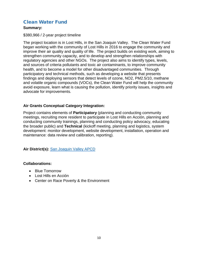## <span id="page-10-0"></span>Clean Water Fund

#### **Summary:**

#### \$380,966 / 2-year project timeline

The project location is in Lost Hills, in the San Joaquin Valley. The Clean Water Fund began working with the community of Lost Hills in 2016 to engage the community and improve their air quality and quality of life. The project builds on existing work, aiming to strengthen community capacity, and to develop and strengthen relationships with regulatory agencies and other NGOs. The project also aims to identify types, levels, and sources of criteria pollutants and toxic air contaminants, to improve community health, and to become a model for other disadvantaged communities. Through participatory and technical methods, such as developing a website that presents findings and deploying sensors that detect levels of ozone, NO2, PM2.5/10, methane and volatile organic compounds (VOCs), the Clean Water Fund will help the community avoid exposure, learn what is causing the pollution, identify priority issues, insights and advocate for improvements.

#### **Air Grants Conceptual Category Integration:**

Project contains elements of **Participatory** (planning and conducting community meetings, recruiting more resident to participate in Lost Hills en Acción, planning and conducting community trainings, planning and conducting policy advocacy, educating the broader public) and **Technical** (kickoff meeting, planning and logistics, system development: monitor development, website development, installation, operation and maintenance: data review and calibration, reporting).

**Air District(s):** [San Joaquin Valley APCD](http://www.valleyair.org/Home.htm)

- Blue Tomorrow
- Lost Hills en Acción
- Center on Race Poverty & the Environment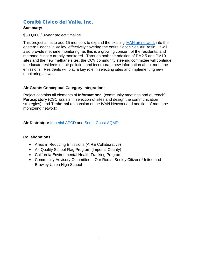## <span id="page-11-0"></span>Comité Civico del Valle, Inc.

#### **Summary:**

#### \$500,000 / 3-year project timeline

This project aims to add 15 monitors to expand the existing **IVAN** air network into the eastern Coachella Valley, effectively covering the entire Salton Sea Air Basin. It will also provide methane monitoring, as this is a growing concern of the residents, and methane is not currently monitored. Through both the addition of PM2.5 and PM10 sites and the new methane sites, the CCV community steering committee will continue to educate residents on air pollution and incorporate new information about methane emissions. Residents will play a key role in selecting sites and implementing new monitoring as well.

#### **Air Grants Conceptual Category Integration:**

Project contains all elements of **Informational** (community meetings and outreach), **Participatory** (CSC assists in selection of sites and design the communication strategies), and **Technical** (expansion of the IVAN Network and addition of methane monitoring network).

#### **Air District(s):** [Imperial](http://www.co.imperial.ca.us/AirPollution/) APCD and [South Coast AQMD](http://www.aqmd.gov/)

- Allies in Reducing Emissions (AIRE Collaborative)
- Air Quality School Flag Program (Imperial County)
- California Environmental Health Tracking Program
- Community Advisory Committee Our Roots, Seeley Citizens United and Brawley Union High School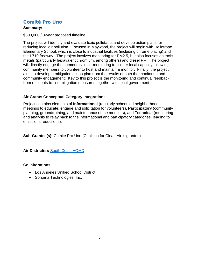## <span id="page-12-0"></span>Comité Pro Uno

#### **Summary:**

#### \$500,000 / 3-year proposed timeline

The project will identify and evaluate toxic pollutants and develop action plans for reducing local air pollution. Focused in Maywood, the project will begin with Heliotrope Elementary School, which is close to industrial facilities (including chrome plating) and the I-710 freeway. The project involves monitoring for PM2.5, but also focuses on toxic metals (particularly hexavalent chromium, among others) and diesel PM. The project will directly engage the community in air monitoring to bolster local capacity, allowing community members to volunteer to host and maintain a monitor. Finally, the project aims to develop a mitigation action plan from the results of both the monitoring and community engagement. Key to this project is the monitoring and continual feedback from residents to find mitigation measures together with local government.

#### **Air Grants Conceptual Category Integration:**

Project contains elements of **Informational** (regularly scheduled neighborhood meetings to educate, engage and solicitation for volunteers), **Participatory** (community planning, groundtruthing, and maintenance of the monitors), and **Technical** (monitoring and analysis to relay back to the informational and participatory categories, leading to emissions reductions).

**Sub-Grantee(s):** Comité Pro Uno (Coalition for Clean Air is grantee)

**Air District(s):** [South Coast AQMD](http://www.aqmd.gov/)

- Los Angeles Unified School District
- Sonoma Technologies, Inc.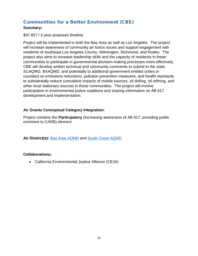## <span id="page-13-0"></span>Communities for a Better Environment (CBE)

#### **Summary:**

#### \$97,857 / 2-year proposed timeline

Project will be implemented in both the Bay Area as well as Los Angeles. The project will increase awareness of community air toxics issues and support engagement with residents of southeast Los Angeles County, Wilmington, Richmond, and Rodeo. The project also aims to increase leadership skills and the capacity of residents in these communities to participate in governmental decision-making processes more effectively. CBE will develop written technical and community comments to submit to the state, SCAQMD, BAAQMD, and potentially to additional government entities (cities or counties) on emissions reductions, pollution prevention measures, and health standards to substantially reduce cumulative impacts of mobile sources, oil drilling, oil refining, and other local stationary sources in these communities. The project will involve participation in environmental justice coalitions and sharing information on AB 617 development and implementation.

#### **Air Grants Conceptual Category Integration:**

Project contains the **Participatory** (increasing awareness of AB 617, providing public comment to CARB) element.

**Air District(s):** [Bay Area AQMD](http://www.baaqmd.gov/) and [South Coast AQMD](http://www.aqmd.gov/)

#### **Collaborations:**

• California Environmental Justice Alliance (CEJA)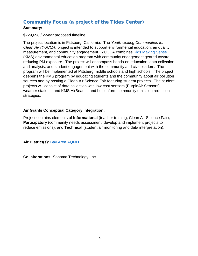## <span id="page-14-0"></span>Community Focus (a project of the Tides Center)

#### **Summary:**

#### \$229,698 / 2-year proposed timeline

The project location is in Pittsburg, California. The *Youth Uniting Communities for Clean Air (YUCCA)* project is intended to support environmental education, air quality measurement, and community engagement. YUCCA combines [Kids Making Sense](https://kidsmakingsense.org/) (KMS) environmental education program with community engagement geared toward reducing PM exposure. The project will encompass hands-on education, data collection and analysis, and student engagement with the community and civic leaders. The program will be implemented at Pittsburg middle schools and high schools. The project deepens the KMS program by educating students and the community about air pollution sources and by hosting a Clean Air Science Fair featuring student projects. The student projects will consist of data collection with low-cost sensors (PurpleAir Sensors), weather stations, and KMS AirBeams, and help inform community emission reduction strategies.

#### **Air Grants Conceptual Category Integration:**

Project contains elements of **Informational** (teacher training, Clean Air Science Fair), **Participatory** (community needs assessment, develop and implement projects to reduce emissions), and **Technical** (student air monitoring and data interpretation).

**Air District(s):** [Bay Area AQMD](http://www.baaqmd.gov/)

**Collaborations:** Sonoma Technology, Inc.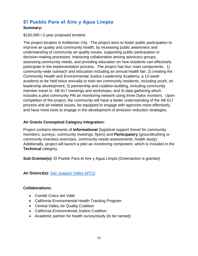## <span id="page-15-0"></span>El Pueblo Para el Aire y Agua Limpia

#### **Summary:**

#### \$150,000 / 2-year proposed timeline

The project location is Kettleman City. The project aims to foster public participation to improve air quality and community health, by increasing public awareness and understanding of community air quality issues, supporting public participation in decision-making processes, improving collaboration among advocacy groups, assessing community needs, and providing education on how residents can effectively participate in the implementation process. The project has four main components: 1) community-wide outreach and education including an annual health fair; 2) creating the Community Health and Environmental Justice Leadership Academy, a 12-week academy to be held twice annually to train ten community residents, including youth, on leadership development; 3) partnership and coalition-building, including community member travel to AB 617 meetings and workshops; and 4) data gathering which includes a pilot community PM air monitoring network using three Dylos monitors. Upon completion of the project, the community will have a better understanding of the AB 617 process and air-related issues, be equipped to engage with agencies more effectively, and have more tools to engage in the development of emission reduction strategies.

#### **Air Grants Conceptual Category Integration:**

Project contains elements of **Informational** (logistical support /travel for community members; surveys; community meetings; flyers) and **Participatory** (groundtruthing or community inventory exercises, community needs assessments, health study). Additionally, project will launch a pilot air-monitoring component, which is included in the **Technical** category.

**Sub-Grantee(s):** El Pueblo Para el Aire y Agua Limpia (Greenaction is grantee)

**Air District(s):** [San Joaquin Valley APCD](http://www.valleyair.org/Home.htm)

- Comité Civico del Valle
- California Environmental Health Tracking Program
- Central Valley Air Quality Coalition
- California Environmental Justice Coalition
- Academic partner for health survey/study (to be named)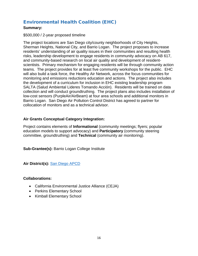## <span id="page-16-0"></span>Environmental Health Coalition (EHC)

#### **Summary:**

#### \$500,000 / 2-year proposed timeline

The project locations are San Diego city/county neighborhoods of City Heights, Sherman Heights, National City, and Barrio Logan. The project proposes to increase residents' understanding of air quality issues in their communities and resulting health risks, leadership development to engage residents in community advocacy on AB 617, and community-based research on local air quality and development of residentscientists. Primary mechanism for engaging residents will be through community action teams. The project provides for at least five community workshops for the public. EHC will also build a task force, the Healthy Air Network, across the focus communities for monitoring and emissions reductions education and actions. The project also includes the development of a curriculum for inclusion in EHC existing leadership program SALTA (Salud Ambiental Lideres Tomando Acción). Residents will be trained on data collection and will conduct groundtruthing. The project plans also includes installation of low-cost sensors (PurpleAir/AirBeam) at four area schools and additional monitors in Barrio Logan. San Diego Air Pollution Control District has agreed to partner for collocation of monitors and as a technical advisor.

#### **Air Grants Conceptual Category Integration:**

Project contains elements of **Informational** (community meetings; flyers; popular education models to support advocacy) and **Participatory** (community steering committee, groundtruthing) and **Technical** (community air monitoring).

**Sub-Grantee(s):** Barrio Logan College Institute

**Air District(s):** [San Diego](https://www.sdapcd.org/) APCD

- California Environmental Justice Alliance (CEJA)
- Perkins Elementary School
- Kimball Elementary School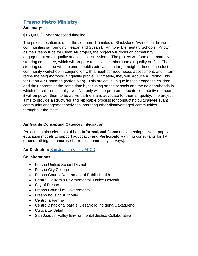## <span id="page-17-0"></span>Fresno Metro Ministry

#### **Summary:**

#### \$150,000 / 1-year proposed timeline

The project location is off of the southern 1.5 miles of Blackstone Avenue, in the two communities surrounding Heaton and Susan B. Anthony Elementary Schools. Known as the Fresno Kids for Clean Air project, the project will focus on community engagement on air quality and local air emissions. The project will form a community steering committee, which will prepare an initial neighborhood air quality profile. The steering committee will implement public education in target neighborhoods, conduct community workshop in conjunction with a neighborhood needs assessment, and in turn refine the neighborhood air quality profile. Ultimately, they will produce a Fresno Kids for Clean Air Roadmap (action plan). This project is unique in that it engages children, and their parents at the same time by focusing on the schools and the neighborhoods in which the children actually live. Not only will the program educate community members, it will empower them to be active partners and advocate for their air quality. The project aims to provide a structured and replicable process for conducting culturally-relevant community engagement activities, assisting other disadvantaged communities throughout the state.

#### **Air Grants Conceptual Category Integration:**

Project contains elements of both **Informational** (community meetings, flyers, popular education models to support advocacy) and **Participatory** (hiring consultants for TA, groundtruthing, community charrettes, community surveys).

#### **Air District(s):** [San Joaquin Valley APCD](http://www.valleyair.org/Home.htm)

- Fresno Unified School District
- Fresno City College
- Fresno County Department of Public Health
- Central California Environmental Justice Network
- City of Fresno
- Fresno Council of Governments
- Fresno housing Authority
- Centro la Familia
- Centro Binacional para el Desarrollo Indígena Oaxaqueño
- Cultiva La Salud
- San Joaquin Valley Environmental Justice Collaborative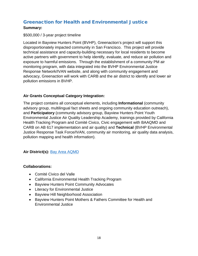## <span id="page-18-0"></span>Greenaction for Health and Environmental Justice

#### **Summary:**

#### \$500,000 / 3-year project timeline

Located in Bayview Hunters Point (BVHP), Greenaction's project will support this disproportionately impacted community in San Francisco. This project will provide technical assistance and capacity-building necessary for local residents to become active partners with government to help identify, evaluate, and reduce air pollution and exposure to harmful emissions. Through the establishment of a community PM air monitoring program, with data integrated into the BVHP Environmental Justice Response Network/IVAN website, and along with community engagement and advocacy, Greenaction will work with CARB and the air district to identify and lower air pollution emissions in BVHP.

#### **Air Grants Conceptual Category Integration:**

The project contains all conceptual elements, including **Informational** (community advisory group, multilingual fact sheets and ongoing community education outreach), and **Participatory** (community advisory group, Bayview Hunters Point Youth Environmental Justice Air Quality Leadership Academy, trainings provided by California Health Tracking Program and Comité Civico, Civic engagement with BAAQMD and CARB on AB 617 implementation and air quality) and **Technical** (BVHP Environmental Justice Response Task Force/IVAN, community air monitoring, air quality data analysis, pollution mapping and health information).

#### **Air District(s):** [Bay Area](http://www.baaqmd.gov/) AQMD

- Comité Civico del Valle
- California Environmental Health Tracking Program
- Bayview Hunters Point Community Advocates
- Literacy for Environmental Justice
- Bayview Hill Neighborhood Association
- Bayview Hunters Point Mothers & Fathers Committee for Health and Environmental Justice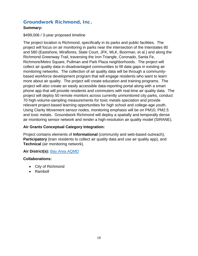### <span id="page-19-0"></span>Groundwork Richmond, Inc.

#### **Summary:**

#### \$499,006 / 3-year proposed timeline

The project location is Richmond, specifically in its parks and public facilities. The project will focus on air monitoring in parks near the intersection of the Interstates 80 and 580 (Eastshore, Miraflores, State Court, JFK, MLK, Boorman, et al.) and along the Richmond Greenway Trail, traversing the Iron Triangle, Coronado, Santa Fe, Richmore/Metro Square, Pullman and Park Plaza neighborhoods. The project will collect air quality data in disadvantaged communities to fill data gaps in existing air monitoring networks. The collection of air quality data will be through a communitybased workforce development program that will engage residents who want to learn more about air quality. The project will create education and training programs. The project will also create an easily accessible data-reporting portal along with a smart phone app that will provide residents and commuters with real-time air quality data. The project will deploy 50 remote monitors across currently unmonitored city parks, conduct 70 high-volume-sampling measurements for toxic metals speciation and provide relevant project-based learning opportunities for high school and college-age youth. Using Clarity Movement sensor nodes, monitoring emphasis will be on PM10, PM2.5 and toxic metals. Groundwork Richmond will deploy a spatially and temporally dense air monitoring sensor network and render a high-resolution air quality model (SIRANE).

#### **Air Grants Conceptual Category Integration:**

Project contains elements of **Informational** (community and web-based outreach), **Participatory** (train residents to collect air quality data and use air quality app), and **Technical** (air monitoring network).

#### **Air District(s):** [Bay Area AQMD](http://www.baaqmd.gov/)

- City of Richmond
- Ramboll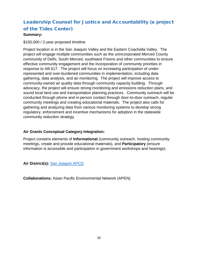## <span id="page-20-0"></span>Leadership Counsel for Justice and Accountability (a project of the Tides Center)

#### **Summary:**

#### \$150,000 / 2-year proposed timeline

Project location is in the San Joaquin Valley and the Eastern Coachella Valley. The project will engage multiple communities such as the unincorporated Merced County community of Delhi, South Merced, southwest Fresno and other communities to ensure effective community engagement and the incorporation of community priorities in response to AB 617. The project will focus on increasing participation of underrepresented and over-burdened communities in implementation, including data gathering, data analysis, and air monitoring. The project will improve access to community-owned air quality data through community capacity building. Through advocacy, the project will ensure strong monitoring and emissions reduction plans, and sound local land use and transportation planning practices. Community outreach will be conducted through phone and in-person contact through door-to-door outreach, regular community meetings and creating educational materials. The project also calls for gathering and analyzing data from various monitoring systems to develop strong regulatory, enforcement and incentive mechanisms for adoption in the statewide community reduction strategy.

#### **Air Grants Conceptual Category Integration:**

Project contains elements of **Informational** (community outreach, hosting community meetings, create and provide educational materials), and **Participatory** (ensure information is accessible and participation in government workshops and hearings).

**Air District(s):** [San Joaquin](http://www.valleyair.org/Home.htm) APCD

**Collaborations:** Asian Pacific Environmental Network (APEN)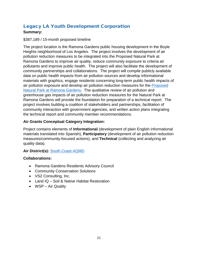## <span id="page-21-0"></span>Legacy LA Youth Development Corporation

#### **Summary:**

#### \$387,189 / 15-month proposed timeline

The project location is the Ramona Gardens public housing development in the Boyle Heights neighborhood of Los Angeles. The project involves the development of air pollution reduction measures to be integrated into the Proposed Natural Park at Ramona Gardens to improve air quality, reduce community exposure to criteria air pollutants and improve public health. The project will also facilitate the development of community partnerships and collaborations. The project will compile publicly available data on public health impacts from air pollution sources and develop informational materials with graphics, engage residents concerning long-term public health impacts of air pollution exposure and develop air pollution reduction measures for the [Proposed](http://gsp.conservationsolutions.org/natural_park_ramona_gardens/)  [Natural Park at Ramona Gardens.](http://gsp.conservationsolutions.org/natural_park_ramona_gardens/) The qualitative review of air pollution and greenhouse gas impacts of air pollution reduction measures for the Natural Park at Ramona Gardens will provide the foundation for preparation of a technical report. The project involves building a coalition of stakeholders and partnerships, facilitation of community interaction with government agencies, and written action plans integrating the technical report and community member recommendations.

#### **Air Grants Conceptual Category Integration:**

Project contains elements of **Informational** (development of plain English informational materials translated into Spanish), **Participatory** (development of air pollution reduction measures/community-focused actions), and **Technical** (collecting and analyzing air quality data).

#### **Air District(s):** [South Coast AQMD](http://www.aqmd.gov/)

- Ramona Gardens Residents Advisory Council
- Community Conservation Solutions
- VS2 Consulting, Inc.
- Land IQ Soil & Native Habitat Restoration
- WSP Air Quality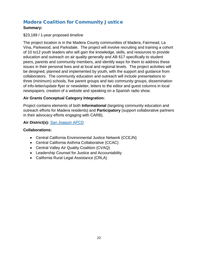## <span id="page-22-0"></span>Madera Coalition for Community Justice

#### **Summary:**

#### \$23,189 / 1-year proposed timeline

The project location is in the Madera County communities of Madera, Fairmead, La Vina, Parkwood, and Parksdale. The project will involve recruiting and training a cohort of 10 to12 youth leaders who will gain the knowledge, skills, and resources to provide education and outreach on air quality generally and AB 617 specifically to student peers, parents and community members, and identify ways for them to address these issues in their personal lives and at local and regional levels. The project activities will be designed, planned and implemented by youth, with the support and guidance from collaborators. The community education and outreach will include presentations to three (minimum) schools, five parent groups and two community groups, dissemination of info-letter/update flyer or newsletter, letters to the editor and guest columns in local newspapers, creation of a website and speaking on a Spanish radio show.

#### **Air Grants Conceptual Category Integration:**

Project contains elements of both **Informational** (targeting community education and outreach efforts for Madera residents) and **Participatory** (support collaborative partners in their advocacy efforts engaging with CARB).

#### **Air District(s):** [San Joaquin APCD](http://www.valleyair.org/Home.htm)

- Central California Environmental Justice Network (CCEJN)
- Central California Asthma Collaborative (CCAC)
- Central Valley Air Quality Coalition (CVAQ)
- Leadership Counsel for Justice and Accountability
- California Rural Legal Assistance (CRLA)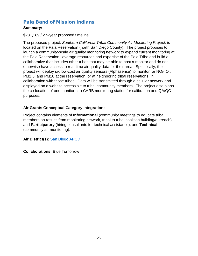## <span id="page-23-0"></span>Pala Band of Mission Indians

#### **Summary:**

#### \$281,189 / 2.5-year proposed timeline

The proposed project, *Southern California Tribal Community Air Monitoring Project,* is located on the Pala Reservation (north San Diego County). The project proposes to launch a community-scale air quality monitoring network to expand current monitoring at the Pala Reservation, leverage resources and expertise of the Pala Tribe and build a collaborative that includes other tribes that may be able to host a monitor and do not otherwise have access to real-time air quality data for their area. Specifically, the project will deploy six low-cost air quality sensors (Alphasense) to monitor for  $NO<sub>2</sub>$ ,  $O<sub>3</sub>$ , PM2.5, and PM10 at the reservation, or at neighboring tribal reservations, in collaboration with those tribes. Data will be transmitted through a cellular network and displayed on a website accessible to tribal community members. The project also plans the co-location of one monitor at a CARB monitoring station for calibration and QA/QC purposes.

#### **Air Grants Conceptual Category Integration:**

Project contains elements of **Informational** (community meetings to educate tribal members on results from monitoring network, tribal to tribal coalition building/outreach) and **Participatory** (hiring consultants for technical assistance), and **Technical** (community air monitoring).

**Air District(s):** [San Diego APCD](https://www.sdapcd.org/)

**Collaborations:** Blue Tomorrow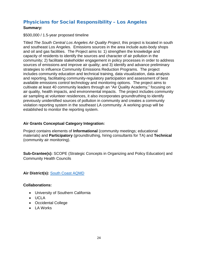## <span id="page-24-0"></span>Physicians for Social Responsibility – Los Angeles

#### **Summary:**

#### \$500,000 / 1.5-year proposed timeline

Titled *The South Central Los Angeles Air Quality Project*, this project is located in south and southeast Los Angeles. Emissions sources in the area include auto-body shops and oil and gas facilities. The Project aims to: 1) strengthen the knowledge and capacity of residents to identify the sources and character of air pollution in the community; 2) facilitate stakeholder engagement in policy processes in order to address sources of emissions and improve air quality; and 3) identify and advance preliminary strategies to influence Community Emissions Reduction Programs. The project includes community education and technical training, data visualization, data analysis and reporting, facilitating community-regulatory participation and assessment of best available emissions control technology and monitoring options. The project aims to cultivate at least 40 community leaders through an "Air Quality Academy," focusing on air quality, health impacts, and environmental impacts. The project includes community air sampling at volunteer residences, it also incorporates groundtruthing to identify previously unidentified sources of pollution in community and creates a community violation reporting system in the southeast LA community. A working group will be established to monitor the reporting system.

#### **Air Grants Conceptual Category Integration:**

Project contains elements of **Informational** (community meetings; educational materials) and **Participatory** (groundtruthing, hiring consultants for TA) and **Technical** (community air monitoring).

**Sub-Grantee(s):** SCOPE (Strategic Concepts in Organizing and Policy Education) and Community Health Councils

**Air District(s):** [South Coast AQMD](http://www.aqmd.gov/)

- University of Southern California
- UCLA
- Occidental College
- LA Works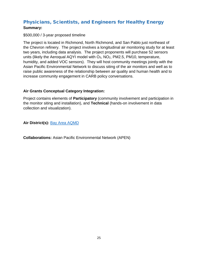## <span id="page-25-0"></span>Physicians, Scientists, and Engineers for Healthy Energy **Summary:**

#### \$500,000 / 3-year proposed timeline

The project is located in Richmond, North Richmond, and San Pablo just northeast of the Chevron refinery. The project involves a longitudinal air monitoring study for at least two years, including data analysis. The project proponents will purchase 52 sensors units (likely the Aeroqual AQYI model with  $O_3$ ,  $NO_2$ , PM2.5, PM10, temperature, humidity, and added VOC sensors). They will host community meetings jointly with the Asian Pacific Environmental Network to discuss siting of the air monitors and well as to raise public awareness of the relationship between air quality and human health and to increase community engagement in CARB policy conversations.

#### **Air Grants Conceptual Category Integration:**

Project contains elements of **Participatory** (community involvement and participation in the monitor siting and installation), and **Technical** (hands-on involvement in data collection and visualization).

#### **Air District(s):** [Bay Area AQMD](http://www.baaqmd.gov/)

**Collaborations:** Asian Pacific Environmental Network (APEN)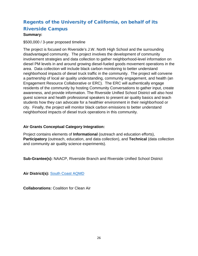## <span id="page-26-0"></span>Regents of the University of California, on behalf of its Riverside Campus

#### **Summary:**

#### \$500,000 / 3-year proposed timeline

The project is focused on Riverside's J.W. North High School and the surrounding disadvantaged community. The project involves the development of community involvement strategies and data collection to gather neighborhood-level information on diesel PM levels in and around growing diesel-fueled goods movement operations in the area. Data collection will include black carbon monitoring to better understand neighborhood impacts of diesel truck traffic in the community. The project will convene a partnership of local air quality understanding, community engagement, and health (an Engagement Resource Collaborative or ERC). The ERC will authentically engage residents of the community by hosting Community Conversations to gather input, create awareness, and provide information. The Riverside Unified School District will also host guest science and health professional speakers to present air quality basics and teach students how they can advocate for a healthier environment in their neighborhood or city. Finally, the project will monitor black carbon emissions to better understand neighborhood impacts of diesel truck operations in this community.

#### **Air Grants Conceptual Category Integration:**

Project contains elements of **Informational** (outreach and education efforts), **Participatory** (outreach, education, and data collection), and **Technical** (data collection and community air quality science experiments).

**Sub-Grantee(s):** NAACP, Riverside Branch and Riverside Unified School District

**Air District(s):** [South Coast AQMD](http://www.aqmd.gov/)

**Collaborations:** Coalition for Clean Air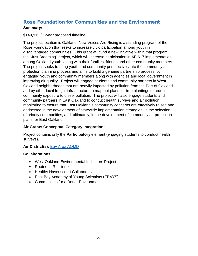## <span id="page-27-0"></span>Rose Foundation for Communities and the Environment **Summary:**

#### \$149,915 / 1-year proposed timeline

The project location is Oakland. New Voices Are Rising is a standing program of the Rose Foundation that seeks to increase civic participation among youth in disadvantaged communities. This grant will fund a new initiative within that program, the "Just Breathing" project, which will increase participation in AB 617 implementation among Oakland youth, along with their families, friends and other community members. The project seeks to bring youth and community perspectives into the community air protection planning process and aims to build a genuine partnership process, by engaging youth and community members along with agencies and local government in improving air quality. Project will engage students and community partners in West Oakland neighborhoods that are heavily impacted by pollution from the Port of Oakland and by other local freight infrastructure to map out plans for tree plantings to reduce community exposure to diesel pollution. The project will also engage students and community partners in East Oakland to conduct health surveys and air pollution monitoring to ensure that East Oakland's community concerns are effectively raised and addressed in the development of statewide implementation strategies, in the selection of priority communities, and, ultimately, in the development of community air protection plans for East Oakland.

#### **Air Grants Conceptual Category Integration:**

Project contains only the **Participatory** element (engaging students to conduct health surveys).

#### **Air District(s):** [Bay Area AQMD](http://www.baaqmd.gov/)

- West Oakland Environmental Indicators Project
- Rooted in Resilience
- Healthy Havenscourt Collaborative
- East Bay Academy of Young Scientists (EBAYS)
- Communities for a Better Environment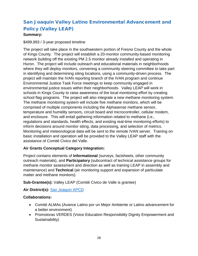## <span id="page-28-0"></span>San Joaquin Valley Latino Environmental Advancement and Policy (Valley LEAP)

#### **Summary:**

#### \$499,993 / 3-year proposed timeline

The project will take place in the southwestern portion of Fresno County and the whole of Kings County. The project will establish a 20-monitor community-based monitoring network building off the existing PM 2.5 monitor already installed and operating in Huron. The project will include outreach and educational materials in neighborhoods where they will deploy monitors, convening a community steering committee to take part in identifying and determining siting locations, using a community-driven process. The project will maintain the IVAN reporting branch of the IVAN program and continue Environmental Justice Task Force meetings to keep community engaged in environmental justice issues within their neighborhoods. Valley LEAP will work in schools in Kings County to raise awareness of the local monitoring effort by creating school flag programs. The project will also integrate a new methane monitoring system. The methane monitoring system will include five methane monitors, which will be comprised of multiple components including the Alphasense methane sensor, temperature and humidity sensors, circuit board and microcontroller, cellular modem, and enclosure. This will entail gathering information related to methane (i.e., regulations and standards, health effects, and existing real-time monitoring efforts) to inform decisions around monitor siting, data processing, and selection of metrics. Monitoring and meteorological data will be sent to the remote IVAN server. Training on basic installation and operation will be provided to the Valley LEAP staff with the assistance of Comité Civico del Valle.

#### **Air Grants Conceptual Category Integration:**

Project contains elements of **Informational** (surveys, factsheets, other community outreach materials), and **Participatory** (subcontract of technical assistance groups for methane monitor assessment and direction as well as training LEAP in assembly and maintenance) and **Technical** (air monitoring support and expansion of particulate matter and methane monitors).

**Sub-Grantee(s):** Valley LEAP (Comité Civico de Valle is grantee)

**Air District(s):** [San Joaquin APCD](http://www.valleyair.org/Home.htm)

- Comité ALMAs (Avance Latino por un Mejor Ambiente or Latino advancement for a better environment)
- Promotoras VERDES (Voice Education Responsibility Dignity Empowerment and Sustainability)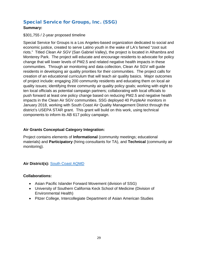## <span id="page-29-0"></span>Special Service for Groups, Inc. (SSG)

#### **Summary:**

#### \$301,755 / 2-year proposed timeline

Special Service for Groups is a Los Angeles-based organization dedicated to social and economic justice, created to serve Latino youth in the wake of LA's famed "zoot suit riots." Titled *Clean Air SGV* (San Gabriel Valley), the project is located in Alhambra and Monterey Park. The project will educate and encourage residents to advocate for policy change that will lower levels of PM2.5 and related negative health impacts in these communities. Through air monitoring and data collection, Clean Air SGV will guide residents in developing air quality priorities for their communities. The project calls for creation of an educational curriculum that will teach air quality basics. Major outcomes of project include: engaging 200 community residents and educating them on local air quality issues; identifying three community air quality policy goals; working with eight to ten local officials as potential campaign partners; collaborating with local officials to push forward at least one policy change based on reducing PM2.5 and negative health impacts in the Clean Air SGV communities. SSG deployed 40 PurpleAir monitors in January 2018, working with South Coast Air Quality Management District through the district's USEPA STAR grant. This grant will build on this work, using technical components to inform its AB 617 policy campaign.

#### **Air Grants Conceptual Category Integration:**

Project contains elements of **Informational** (community meetings; educational materials) and **Participatory** (hiring consultants for TA), and **Technical** (community air monitoring).

#### **Air District(s):** [South Coast AQMD](http://www.aqmd.gov/)

- Asian Pacific Islander Forward Movement (division of SSG)
- University of Southern California Keck School of Medicine (Division of Environmental Health)
- Pitzer College, Intercollegiate Department of Asian American Studies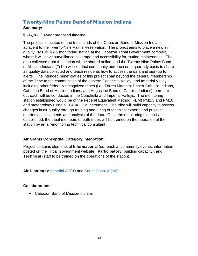## <span id="page-30-0"></span>Twenty-Nine Palms Band of Mission Indians

#### **Summary:**

#### \$395,386 / 3-year proposed timeline

The project is located on the tribal lands of the Cabazon Band of Mission Indians, adjacent to the Twenty-Nine Palms Reservation. The project aims to place a new air quality PM10/PM2.5 monitoring station at the Cabazon Tribal Government complex, where it will have surveillance coverage and accessibility for routine maintenance. The data collected from the station will be shared online, and the Twenty-Nine Palms Band of Mission Indians (Tribe) will conduct community outreach on a quarterly basis to share air quality data collected and teach residents how to access the data and sign-up for alerts. The intended beneficiaries of this project span beyond the general membership of the Tribe to the communities of the eastern Coachella Valley, and Imperial Valley, including other federally recognized tribes (i.e., Torres Martinez Desert Cahuilla Indians, Cabazon Band of Mission Indians, and Augustine Band of Cahuilla Indians) therefore outreach will be conducted in the Coachella and Imperial Valleys. The monitoring station established would be of the Federal Equivalent Method (FEM) PM2.5 and PM10, and meteorology using a T640X FEM instrument. The tribe will build capacity to assess changes in air quality through training and hiring of technical experts and provide quarterly assessments and analysis of the data. Once the monitoring station is established, the tribal members of both tribes will be trained on the operation of the station by an air-monitoring technical consultant.

#### **Air Grants Conceptual Category Integration:**

Project contains elements of **Informational** (outreach at community events, information posted on the Tribal Government website), **Participatory** (building capacity), and **Technical** (staff to be trained on the operations of the station).

**Air District(s):** [Imperial APCD](http://www.co.imperial.ca.us/AirPollution/) and [South Coast AQMD](http://www.aqmd.gov/)

#### **Collaborations:**

• Cabazon Band of Mission Indians